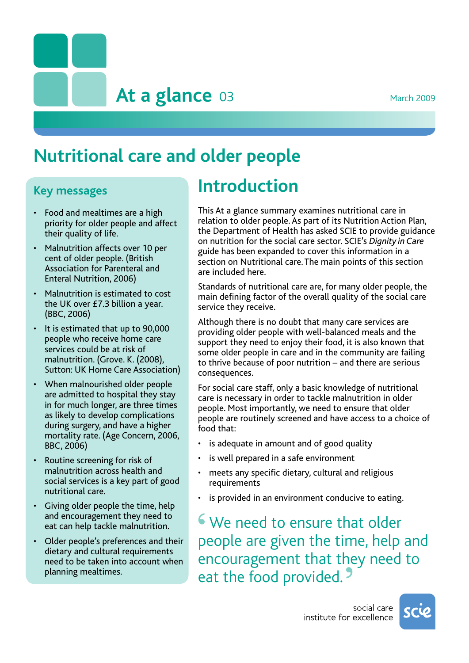**March 2009** 

**At a glance**

# **Nutritional care and older people**

### **Key messages**

- • Food and mealtimes are a high priority for older people and affect their quality of life.
- Malnutrition affects over 10 per cent of older people. (British Association for Parenteral and Enteral Nutrition, 2006)
- Malnutrition is estimated to cost the UK over £7.3 billion a year. (BBC, 2006)
- • It is estimated that up to 90,000 people who receive home care services could be at risk of malnutrition. (Grove. K. (2008), Sutton: UK Home Care Association)
- When malnourished older people are admitted to hospital they stay in for much longer, are three times as likely to develop complications during surgery, and have a higher mortality rate. (Age Concern, 2006, BBC, 2006)
- • Routine screening for risk of malnutrition across health and social services is a key part of good nutritional care.
- • Giving older people the time, help and encouragement they need to eat can help tackle malnutrition.
- • Older people's preferences and their dietary and cultural requirements need to be taken into account when planning mealtimes.

### **Introduction**

This At a glance summary examines nutritional care in relation to older people. As part of its Nutrition Action Plan, the Department of Health has asked SCIE to provide guidance on nutrition for the social care sector. SCIE's *Dignity in Care* guide has been expanded to cover this information in a section on Nutritional care. The main points of this section are included here.

Standards of nutritional care are, for many older people, the main defining factor of the overall quality of the social care service they receive.

Although there is no doubt that many care services are providing older people with well-balanced meals and the support they need to enjoy their food, it is also known that some older people in care and in the community are failing to thrive because of poor nutrition – and there are serious consequences.

For social care staff, only a basic knowledge of nutritional care is necessary in order to tackle malnutrition in older people. Most importantly, we need to ensure that older people are routinely screened and have access to a choice of food that:

- is adequate in amount and of good quality
- is well prepared in a safe environment
- meets any specific dietary, cultural and religious requirements
- is provided in an environment conducive to eating.

**S** We need to ensure that older people are given the time help people are given the time, help and encouragement that they need to eat the food provided. **'**

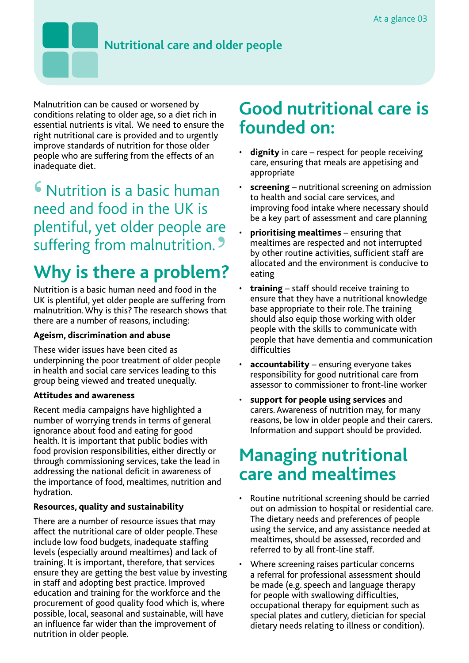### **Nutritional care and older people**

Malnutrition can be caused or worsened by conditions relating to older age, so a diet rich in essential nutrients is vital. We need to ensure the right nutritional care is provided and to urgently improve standards of nutrition for those older people who are suffering from the effects of an inadequate diet.

**S** Nutrition is a basic human<br>need and food in the UK is need and food in the UK is plentiful, yet older people are suffering from malnutrition. **'**

# **Why is there a problem?**

Nutrition is a basic human need and food in the UK is plentiful, yet older people are suffering from malnutrition.Why is this? The research shows that there are a number of reasons, including:

#### **Ageism, discrimination and abuse**

These wider issues have been cited as underpinning the poor treatment of older people in health and social care services leading to this group being viewed and treated unequally.

#### **Attitudes and awareness**

Recent media campaigns have highlighted a number of worrying trends in terms of general ignorance about food and eating for good health. It is important that public bodies with food provision responsibilities, either directly or through commissioning services, take the lead in addressing the national deficit in awareness of the importance of food, mealtimes, nutrition and hydration.

#### **Resources, quality and sustainability**

There are a number of resource issues that may affect the nutritional care of older people.These include low food budgets, inadequate staffing levels (especially around mealtimes) and lack of training. It is important, therefore, that services ensure they are getting the best value by investing in staff and adopting best practice. Improved education and training for the workforce and the procurement of good quality food which is, where possible, local, seasonal and sustainable, will have an influence far wider than the improvement of nutrition in older people.

### **Good nutritional care is founded on:**

- **dignity** in care respect for people receiving care, ensuring that meals are appetising and appropriate
- **screening** nutritional screening on admission to health and social care services, and improving food intake where necessary should be a key part of assessment and care planning
- **prioritising mealtimes** ensuring that mealtimes are respected and not interrupted by other routine activities, sufficient staff are allocated and the environment is conducive to eating
- **training** staff should receive training to ensure that they have a nutritional knowledge base appropriate to their role.The training should also equip those working with older people with the skills to communicate with people that have dementia and communication difficulties
- **accountability** ensuring everyone takes responsibility for good nutritional care from assessor to commissioner to front-line worker
- support for people using services and carers. Awareness of nutrition may, for many reasons, be low in older people and their carers. Information and support should be provided.

## **Managing nutritional care and mealtimes**

- Routine nutritional screening should be carried out on admission to hospital or residential care. The dietary needs and preferences of people using the service, and any assistance needed at mealtimes, should be assessed, recorded and referred to by all front-line staff.
- Where screening raises particular concerns a referral for professional assessment should be made (e.g. speech and language therapy for people with swallowing difficulties, occupational therapy for equipment such as special plates and cutlery, dietician for special dietary needs relating to illness or condition).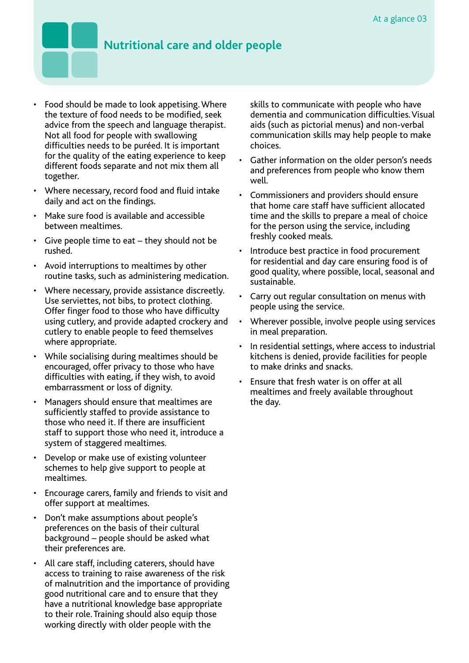- Food should be made to look appetising. Where the texture of food needs to be modified, seek advice from the speech and language therapist. Not all food for people with swallowing difficulties needs to be puréed. It is important for the quality of the eating experience to keep different foods separate and not mix them all together.
- • Where necessary, record food and fluid intake daily and act on the findings.
- • Make sure food is available and accessible between mealtimes.
- $\cdot$  Give people time to eat they should not be rushed.
- • Avoid interruptions to mealtimes by other routine tasks, such as administering medication.
- Where necessary, provide assistance discreetly. Use serviettes, not bibs, to protect clothing. Offer finger food to those who have difficulty using cutlery, and provide adapted crockery and cutlery to enable people to feed themselves where appropriate.
- • While socialising during mealtimes should be encouraged, offer privacy to those who have difficulties with eating, if they wish, to avoid embarrassment or loss of dignity.
- • Managers should ensure that mealtimes are sufficiently staffed to provide assistance to those who need it. If there are insufficient staff to support those who need it, introduce a system of staggered mealtimes.
- Develop or make use of existing volunteer schemes to help give support to people at mealtimes.
- Encourage carers, family and friends to visit and offer support at mealtimes.
- • Don't make assumptions about people's preferences on the basis of their cultural background – people should be asked what their preferences are.
- All care staff, including caterers, should have access to training to raise awareness of the risk of malnutrition and the importance of providing good nutritional care and to ensure that they have a nutritional knowledge base appropriate to their role.Training should also equip those working directly with older people with the

skills to communicate with people who have dementia and communication difficulties.Visual aids (such as pictorial menus) and non-verbal communication skills may help people to make choices.

- Gather information on the older person's needs and preferences from people who know them well.
- • Commissioners and providers should ensure that home care staff have sufficient allocated time and the skills to prepare a meal of choice for the person using the service, including freshly cooked meals.
- • Introduce best practice in food procurement for residential and day care ensuring food is of good quality, where possible, local, seasonal and sustainable.
- • Carry out regular consultation on menus with people using the service.
- Wherever possible, involve people using services in meal preparation.
- In residential settings, where access to industrial kitchens is denied, provide facilities for people to make drinks and snacks.
- • Ensure that fresh water is on offer at all mealtimes and freely available throughout the day.